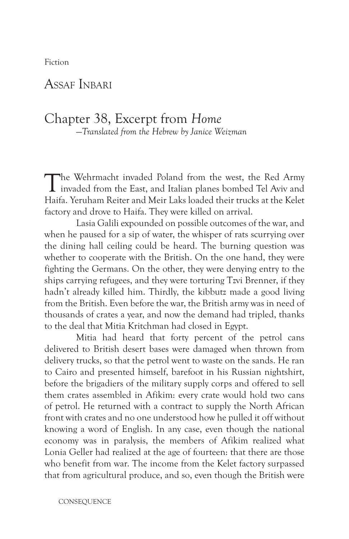Fiction

## ASSAF INBARI

## Chapter 38, Excerpt from *Home* —*Translated from the Hebrew by Janice Weizman*

The Wehrmacht invaded Poland from the west, the Red Army invaded from the East, and Italian planes bombed Tel Aviv and Haifa. Yeruham Reiter and Meir Laks loaded their trucks at the Kelet factory and drove to Haifa. They were killed on arrival.

Lasia Galili expounded on possible outcomes of the war, and when he paused for a sip of water, the whisper of rats scurrying over the dining hall ceiling could be heard. The burning question was whether to cooperate with the British. On the one hand, they were fighting the Germans. On the other, they were denying entry to the ships carrying refugees, and they were torturing Tzvi Brenner, if they hadn't already killed him. Thirdly, the kibbutz made a good living from the British. Even before the war, the British army was in need of thousands of crates a year, and now the demand had tripled, thanks to the deal that Mitia Kritchman had closed in Egypt.

Mitia had heard that forty percent of the petrol cans delivered to British desert bases were damaged when thrown from delivery trucks, so that the petrol went to waste on the sands. He ran to Cairo and presented himself, barefoot in his Russian nightshirt, before the brigadiers of the military supply corps and offered to sell them crates assembled in Afikim: every crate would hold two cans of petrol. He returned with a contract to supply the North African front with crates and no one understood how he pulled it off without knowing a word of English. In any case, even though the national economy was in paralysis, the members of Afikim realized what Lonia Geller had realized at the age of fourteen: that there are those who benefit from war. The income from the Kelet factory surpassed that from agricultural produce, and so, even though the British were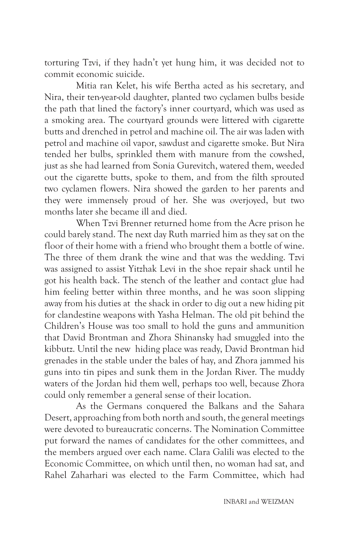torturing Tzvi, if they hadn't yet hung him, it was decided not to commit economic suicide.

Mitia ran Kelet, his wife Bertha acted as his secretary, and Nira, their ten-year-old daughter, planted two cyclamen bulbs beside the path that lined the factory's inner courtyard, which was used as a smoking area. The courtyard grounds were littered with cigarette butts and drenched in petrol and machine oil. The air was laden with petrol and machine oil vapor, sawdust and cigarette smoke. But Nira tended her bulbs, sprinkled them with manure from the cowshed, just as she had learned from Sonia Gurevitch, watered them, weeded out the cigarette butts, spoke to them, and from the filth sprouted two cyclamen flowers. Nira showed the garden to her parents and they were immensely proud of her. She was overjoyed, but two months later she became ill and died.

When Tzvi Brenner returned home from the Acre prison he could barely stand. The next day Ruth married him as they sat on the floor of their home with a friend who brought them a bottle of wine. The three of them drank the wine and that was the wedding. Tzvi was assigned to assist Yitzhak Levi in the shoe repair shack until he got his health back. The stench of the leather and contact glue had him feeling better within three months, and he was soon slipping away from his duties at the shack in order to dig out a new hiding pit for clandestine weapons with Yasha Helman. The old pit behind the Children's House was too small to hold the guns and ammunition that David Brontman and Zhora Shinansky had smuggled into the kibbutz. Until the new hiding place was ready, David Brontman hid grenades in the stable under the bales of hay, and Zhora jammed his guns into tin pipes and sunk them in the Jordan River. The muddy waters of the Jordan hid them well, perhaps too well, because Zhora could only remember a general sense of their location.

As the Germans conquered the Balkans and the Sahara Desert, approaching from both north and south, the general meetings were devoted to bureaucratic concerns. The Nomination Committee put forward the names of candidates for the other committees, and the members argued over each name. Clara Galili was elected to the Economic Committee, on which until then, no woman had sat, and Rahel Zaharhari was elected to the Farm Committee, which had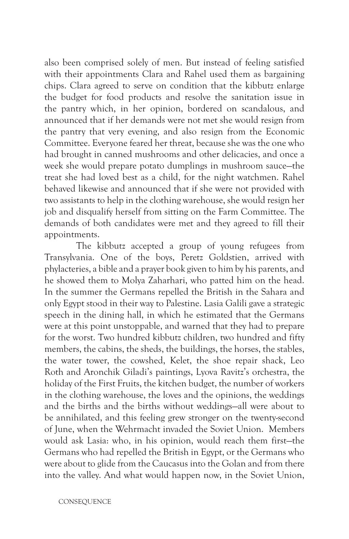also been comprised solely of men. But instead of feeling satisfied with their appointments Clara and Rahel used them as bargaining chips. Clara agreed to serve on condition that the kibbutz enlarge the budget for food products and resolve the sanitation issue in the pantry which, in her opinion, bordered on scandalous, and announced that if her demands were not met she would resign from the pantry that very evening, and also resign from the Economic Committee. Everyone feared her threat, because she was the one who had brought in canned mushrooms and other delicacies, and once a week she would prepare potato dumplings in mushroom sauce—the treat she had loved best as a child, for the night watchmen. Rahel behaved likewise and announced that if she were not provided with two assistants to help in the clothing warehouse, she would resign her job and disqualify herself from sitting on the Farm Committee. The demands of both candidates were met and they agreed to fill their appointments.

The kibbutz accepted a group of young refugees from Transylvania. One of the boys, Peretz Goldstien, arrived with phylacteries, a bible and a prayer book given to him by his parents, and he showed them to Molya Zaharhari, who patted him on the head. In the summer the Germans repelled the British in the Sahara and only Egypt stood in their way to Palestine. Lasia Galili gave a strategic speech in the dining hall, in which he estimated that the Germans were at this point unstoppable, and warned that they had to prepare for the worst. Two hundred kibbutz children, two hundred and fifty members, the cabins, the sheds, the buildings, the horses, the stables, the water tower, the cowshed, Kelet, the shoe repair shack, Leo Roth and Aronchik Giladi's paintings, Lyova Ravitz's orchestra, the holiday of the First Fruits, the kitchen budget, the number of workers in the clothing warehouse, the loves and the opinions, the weddings and the births and the births without weddings—all were about to be annihilated, and this feeling grew stronger on the twenty-second of June, when the Wehrmacht invaded the Soviet Union. Members would ask Lasia: who, in his opinion, would reach them first—the Germans who had repelled the British in Egypt, or the Germans who were about to glide from the Caucasus into the Golan and from there into the valley. And what would happen now, in the Soviet Union,